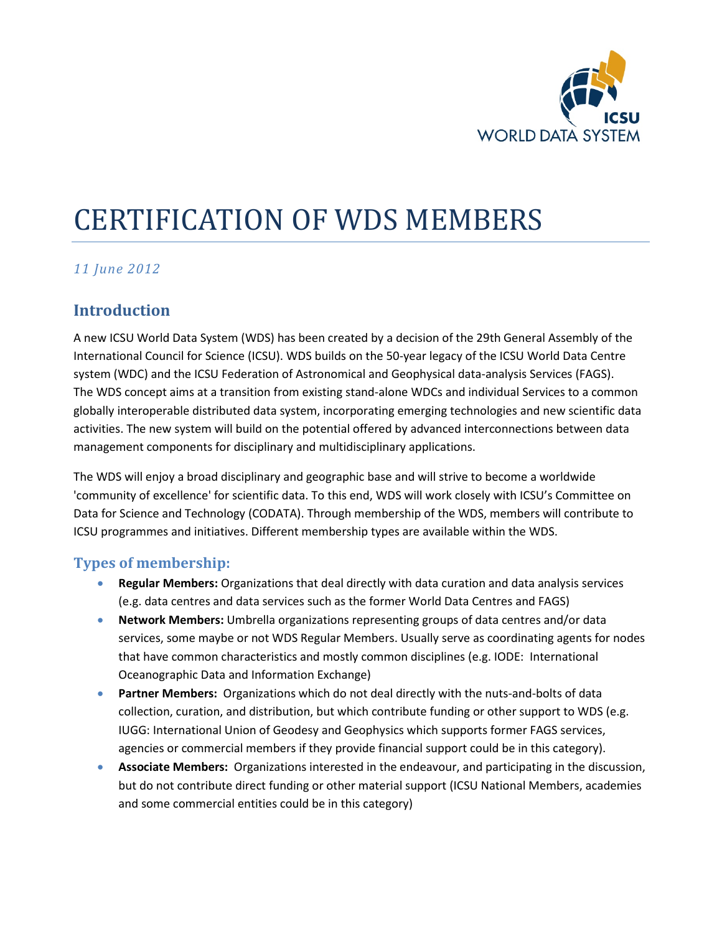

# CERTIFICATION OF WDS MEMBERS

## *11 June 2012*

## **Introduction**

A new ICSU World Data System (WDS) has been created by a decision of the 29th General Assembly of the International Council for Science (ICSU). WDS builds on the 50-year legacy of the ICSU World Data Centre system (WDC) and the ICSU Federation of Astronomical and Geophysical data-analysis Services (FAGS). The WDS concept aims at a transition from existing stand-alone WDCs and individual Services to a common globally interoperable distributed data system, incorporating emerging technologies and new scientific data activities. The new system will build on the potential offered by advanced interconnections between data management components for disciplinary and multidisciplinary applications.

The WDS will enjoy a broad disciplinary and geographic base and will strive to become a worldwide 'community of excellence' for scientific data. To this end, WDS will work closely with ICSU's Committee on Data for Science and Technology (CODATA). Through membership of the WDS, members will contribute to ICSU programmes and initiatives. Different membership types are available within the WDS.

## **Types of membership:**

- **Regular Members:** Organizations that deal directly with data curation and data analysis services (e.g. data centres and data services such as the former World Data Centres and FAGS)
- **Network Members:** Umbrella organizations representing groups of data centres and/or data services, some maybe or not WDS Regular Members. Usually serve as coordinating agents for nodes that have common characteristics and mostly common disciplines (e.g. IODE: International Oceanographic Data and Information Exchange)
- **Partner Members:** Organizations which do not deal directly with the nuts-and-bolts of data collection, curation, and distribution, but which contribute funding or other support to WDS (e.g. IUGG: International Union of Geodesy and Geophysics which supports former FAGS services, agencies or commercial members if they provide financial support could be in this category).
- **Associate Members:** Organizations interested in the endeavour, and participating in the discussion, but do not contribute direct funding or other material support (ICSU National Members, academies and some commercial entities could be in this category)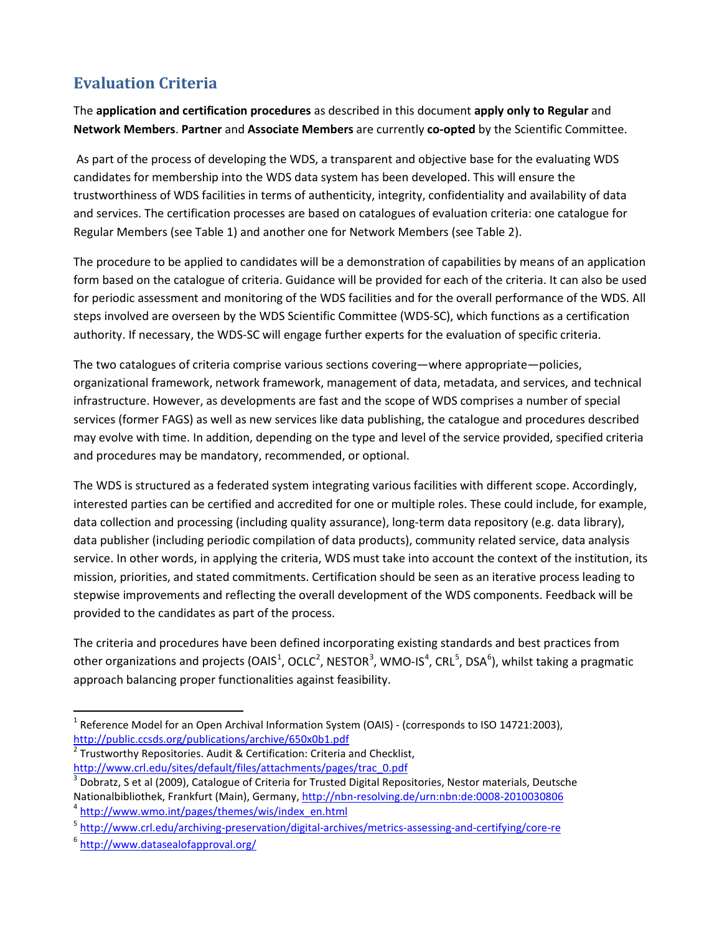# **Evaluation Criteria**

The **application and certification procedures** as described in this document **apply only to Regular** and **Network Members**. **Partner** and **Associate Members** are currently **co-opted** by the Scientific Committee.

As part of the process of developing the WDS, a transparent and objective base for the evaluating WDS candidates for membership into the WDS data system has been developed. This will ensure the trustworthiness of WDS facilities in terms of authenticity, integrity, confidentiality and availability of data and services. The certification processes are based on catalogues of evaluation criteria: one catalogue for Regular Members (see Table 1) and another one for Network Members (see Table 2).

The procedure to be applied to candidates will be a demonstration of capabilities by means of an application form based on the catalogue of criteria. Guidance will be provided for each of the criteria. It can also be used for periodic assessment and monitoring of the WDS facilities and for the overall performance of the WDS. All steps involved are overseen by the WDS Scientific Committee (WDS-SC), which functions as a certification authority. If necessary, the WDS-SC will engage further experts for the evaluation of specific criteria.

The two catalogues of criteria comprise various sections covering—where appropriate—policies, organizational framework, network framework, management of data, metadata, and services, and technical infrastructure. However, as developments are fast and the scope of WDS comprises a number of special services (former FAGS) as well as new services like data publishing, the catalogue and procedures described may evolve with time. In addition, depending on the type and level of the service provided, specified criteria and procedures may be mandatory, recommended, or optional.

The WDS is structured as a federated system integrating various facilities with different scope. Accordingly, interested parties can be certified and accredited for one or multiple roles. These could include, for example, data collection and processing (including quality assurance), long-term data repository (e.g. data library), data publisher (including periodic compilation of data products), community related service, data analysis service. In other words, in applying the criteria, WDS must take into account the context of the institution, its mission, priorities, and stated commitments. Certification should be seen as an iterative process leading to stepwise improvements and reflecting the overall development of the WDS components. Feedback will be provided to the candidates as part of the process.

The criteria and procedures have been defined incorporating existing standards and best practices from other organizations and projects (OAIS<sup>[1](#page-1-0)</sup>, OCLC<sup>[2](#page-1-1)</sup>, NESTOR<sup>[3](#page-1-2)</sup>, WMO-IS<sup>[4](#page-1-3)</sup>, CRL<sup>[5](#page-1-4)</sup>, DSA<sup>[6](#page-1-5)</sup>), whilst taking a pragmatic approach balancing proper functionalities against feasibility.

 $\overline{a}$ 

<span id="page-1-0"></span><sup>&</sup>lt;sup>1</sup> Reference Model for an Open Archival Information System (OAIS) - (corresponds to ISO 14721:2003), http://public.ccsds.org/publications/archive/650x0b1.pdf

<span id="page-1-1"></span> $^2$  Trustworthy Repositories. Audit & Certification: Criteria and Checklist,

<span id="page-1-2"></span>http://www.crl.edu/sites/default/files/attachments/pages/trac\_0.pdf<br><sup>3</sup> Dobratz, S et al (2009), Catalogue of Criteria for Trusted Digital Repositories, Nestor materials, Deutsche Nationalbibliothek, Frankfurt (Main), Germany, http://nbn-resolving.de/urn:nbn:de:0008-2010030806<br>
A http://www.wmo.int/pages/themes/wis/index\_en.html<br>
5 http://www.crl.edu/archiving-preservation/digital-archives/metrics-a

<span id="page-1-3"></span>

<span id="page-1-4"></span>

<span id="page-1-5"></span>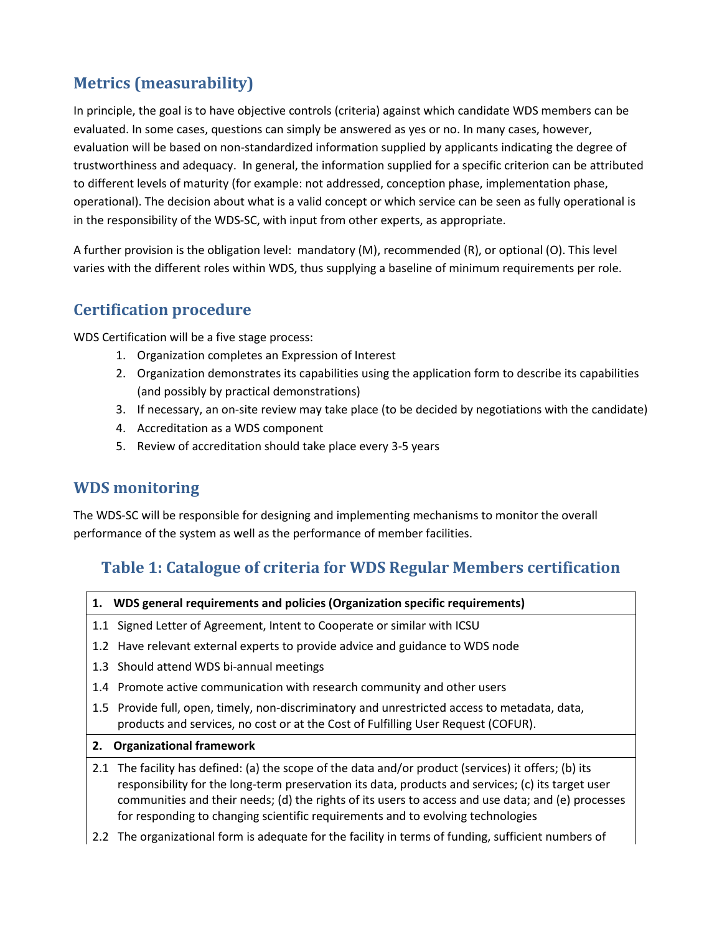## **Metrics (measurability)**

In principle, the goal is to have objective controls (criteria) against which candidate WDS members can be evaluated. In some cases, questions can simply be answered as yes or no. In many cases, however, evaluation will be based on non-standardized information supplied by applicants indicating the degree of trustworthiness and adequacy. In general, the information supplied for a specific criterion can be attributed to different levels of maturity (for example: not addressed, conception phase, implementation phase, operational). The decision about what is a valid concept or which service can be seen as fully operational is in the responsibility of the WDS-SC, with input from other experts, as appropriate.

A further provision is the obligation level: mandatory (M), recommended (R), or optional (O). This level varies with the different roles within WDS, thus supplying a baseline of minimum requirements per role.

## **Certification procedure**

WDS Certification will be a five stage process:

- 1. Organization completes an Expression of Interest
- 2. Organization demonstrates its capabilities using the application form to describe its capabilities (and possibly by practical demonstrations)
- 3. If necessary, an on-site review may take place (to be decided by negotiations with the candidate)
- 4. Accreditation as a WDS component
- 5. Review of accreditation should take place every 3-5 years

## **WDS monitoring**

The WDS-SC will be responsible for designing and implementing mechanisms to monitor the overall performance of the system as well as the performance of member facilities.

## **Table 1: Catalogue of criteria for WDS Regular Members certification**

|  |  |  |  |  | 1. WDS general requirements and policies (Organization specific requirements) |  |
|--|--|--|--|--|-------------------------------------------------------------------------------|--|
|--|--|--|--|--|-------------------------------------------------------------------------------|--|

- 1.1 Signed Letter of Agreement, Intent to Cooperate or similar with ICSU
- 1.2 Have relevant external experts to provide advice and guidance to WDS node
- 1.3 Should attend WDS bi-annual meetings
- 1.4 Promote active communication with research community and other users
- 1.5 Provide full, open, timely, non-discriminatory and unrestricted access to metadata, data, products and services, no cost or at the Cost of Fulfilling User Request (COFUR).
- **2. Organizational framework**
- 2.1 The facility has defined: (a) the scope of the data and/or product (services) it offers; (b) its responsibility for the long-term preservation its data, products and services; (c) its target user communities and their needs; (d) the rights of its users to access and use data; and (e) processes for responding to changing scientific requirements and to evolving technologies
- 2.2 The organizational form is adequate for the facility in terms of funding, sufficient numbers of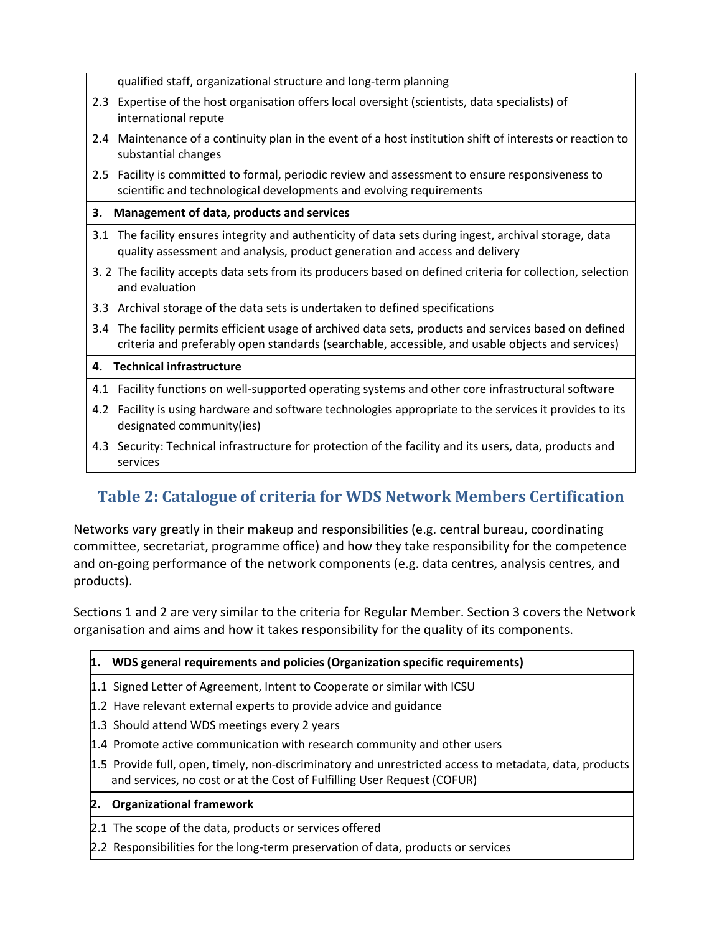qualified staff, organizational structure and long-term planning

- 2.3 Expertise of the host organisation offers local oversight (scientists, data specialists) of international repute
- 2.4 Maintenance of a continuity plan in the event of a host institution shift of interests or reaction to substantial changes
- 2.5 Facility is committed to formal, periodic review and assessment to ensure responsiveness to scientific and technological developments and evolving requirements

### **3. Management of data, products and services**

- 3.1 The facility ensures integrity and authenticity of data sets during ingest, archival storage, data quality assessment and analysis, product generation and access and delivery
- 3. 2 The facility accepts data sets from its producers based on defined criteria for collection, selection and evaluation
- 3.3 Archival storage of the data sets is undertaken to defined specifications
- 3.4 The facility permits efficient usage of archived data sets, products and services based on defined criteria and preferably open standards (searchable, accessible, and usable objects and services)

#### **4. Technical infrastructure**

- 4.1 Facility functions on well-supported operating systems and other core infrastructural software
- 4.2 Facility is using hardware and software technologies appropriate to the services it provides to its designated community(ies)
- 4.3 Security: Technical infrastructure for protection of the facility and its users, data, products and services

# **Table 2: Catalogue of criteria for WDS Network Members Certification**

Networks vary greatly in their makeup and responsibilities (e.g. central bureau, coordinating committee, secretariat, programme office) and how they take responsibility for the competence and on-going performance of the network components (e.g. data centres, analysis centres, and products).

Sections 1 and 2 are very similar to the criteria for Regular Member. Section 3 covers the Network organisation and aims and how it takes responsibility for the quality of its components.

#### **1. WDS general requirements and policies (Organization specific requirements)**

- 1.1 Signed Letter of Agreement, Intent to Cooperate or similar with ICSU
- 1.2 Have relevant external experts to provide advice and guidance
- 1.3 Should attend WDS meetings every 2 years
- 1.4 Promote active communication with research community and other users
- 1.5 Provide full, open, timely, non-discriminatory and unrestricted access to metadata, data, products and services, no cost or at the Cost of Fulfilling User Request (COFUR)

## **2. Organizational framework**

- 2.1 The scope of the data, products or services offered
- 2.2 Responsibilities for the long-term preservation of data, products or services